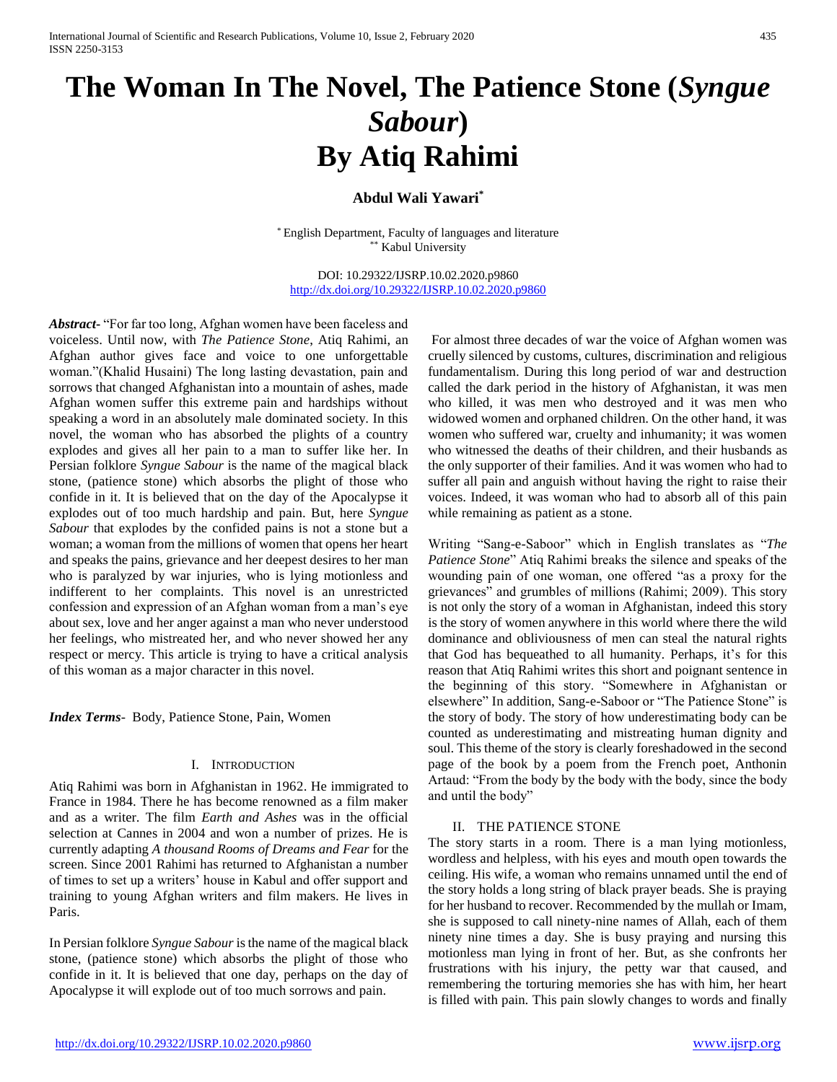# **The Woman In The Novel, The Patience Stone (***Syngue Sabour***) By Atiq Rahimi**

## **Abdul Wali Yawari\***

\* English Department, Faculty of languages and literature \*\* Kabul University

DOI: 10.29322/IJSRP.10.02.2020.p9860 <http://dx.doi.org/10.29322/IJSRP.10.02.2020.p9860>

*Abstract***-** "For far too long, Afghan women have been faceless and voiceless. Until now, with *The Patience Stone*, Atiq Rahimi, an Afghan author gives face and voice to one unforgettable woman."(Khalid Husaini) The long lasting devastation, pain and sorrows that changed Afghanistan into a mountain of ashes, made Afghan women suffer this extreme pain and hardships without speaking a word in an absolutely male dominated society. In this novel, the woman who has absorbed the plights of a country explodes and gives all her pain to a man to suffer like her. In Persian folklore *Syngue Sabour* is the name of the magical black stone, (patience stone) which absorbs the plight of those who confide in it. It is believed that on the day of the Apocalypse it explodes out of too much hardship and pain. But, here *Syngue Sabour* that explodes by the confided pains is not a stone but a woman; a woman from the millions of women that opens her heart and speaks the pains, grievance and her deepest desires to her man who is paralyzed by war injuries, who is lying motionless and indifferent to her complaints. This novel is an unrestricted confession and expression of an Afghan woman from a man's eye about sex, love and her anger against a man who never understood her feelings, who mistreated her, and who never showed her any respect or mercy. This article is trying to have a critical analysis of this woman as a major character in this novel.

*Index Terms*- Body, Patience Stone, Pain, Women

### I. INTRODUCTION

Atiq Rahimi was born in Afghanistan in 1962. He immigrated to France in 1984. There he has become renowned as a film maker and as a writer. The film *Earth and Ashes* was in the official selection at Cannes in 2004 and won a number of prizes. He is currently adapting *A thousand Rooms of Dreams and Fear* for the screen. Since 2001 Rahimi has returned to Afghanistan a number of times to set up a writers' house in Kabul and offer support and training to young Afghan writers and film makers. He lives in Paris.

In Persian folklore *Syngue Sabour* is the name of the magical black stone, (patience stone) which absorbs the plight of those who confide in it. It is believed that one day, perhaps on the day of Apocalypse it will explode out of too much sorrows and pain.

For almost three decades of war the voice of Afghan women was cruelly silenced by customs, cultures, discrimination and religious fundamentalism. During this long period of war and destruction called the dark period in the history of Afghanistan, it was men who killed, it was men who destroyed and it was men who widowed women and orphaned children. On the other hand, it was women who suffered war, cruelty and inhumanity; it was women who witnessed the deaths of their children, and their husbands as the only supporter of their families. And it was women who had to suffer all pain and anguish without having the right to raise their voices. Indeed, it was woman who had to absorb all of this pain while remaining as patient as a stone.

Writing "Sang-e-Saboor" which in English translates as "*The Patience Stone*" Atiq Rahimi breaks the silence and speaks of the wounding pain of one woman, one offered "as a proxy for the grievances" and grumbles of millions (Rahimi; 2009). This story is not only the story of a woman in Afghanistan, indeed this story is the story of women anywhere in this world where there the wild dominance and obliviousness of men can steal the natural rights that God has bequeathed to all humanity. Perhaps, it's for this reason that Atiq Rahimi writes this short and poignant sentence in the beginning of this story. "Somewhere in Afghanistan or elsewhere" In addition, Sang-e-Saboor or "The Patience Stone" is the story of body. The story of how underestimating body can be counted as underestimating and mistreating human dignity and soul. This theme of the story is clearly foreshadowed in the second page of the book by a poem from the French poet, Anthonin Artaud: "From the body by the body with the body, since the body and until the body"

#### II. THE PATIENCE STONE

The story starts in a room. There is a man lying motionless, wordless and helpless, with his eyes and mouth open towards the ceiling. His wife, a woman who remains unnamed until the end of the story holds a long string of black prayer beads. She is praying for her husband to recover. Recommended by the mullah or Imam, she is supposed to call ninety-nine names of Allah, each of them ninety nine times a day. She is busy praying and nursing this motionless man lying in front of her. But, as she confronts her frustrations with his injury, the petty war that caused, and remembering the torturing memories she has with him, her heart is filled with pain. This pain slowly changes to words and finally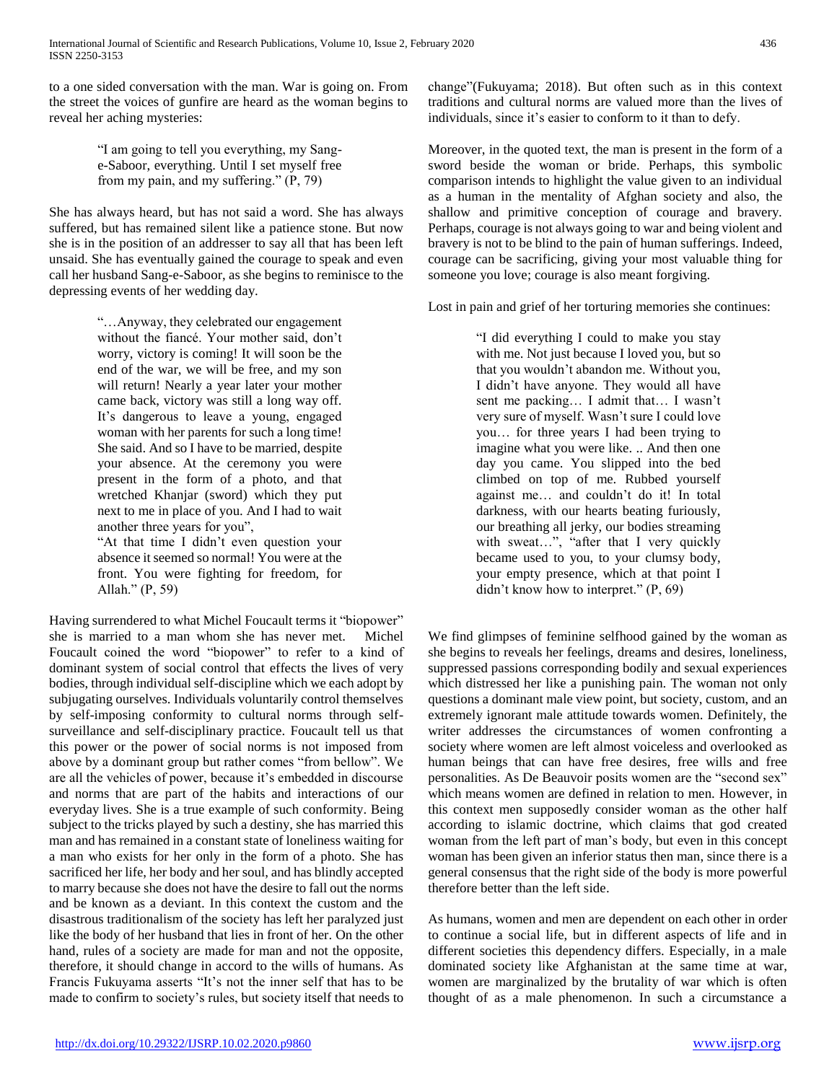to a one sided conversation with the man. War is going on. From the street the voices of gunfire are heard as the woman begins to reveal her aching mysteries:

> "I am going to tell you everything, my Sange-Saboor, everything. Until I set myself free from my pain, and my suffering." (P, 79)

She has always heard, but has not said a word. She has always suffered, but has remained silent like a patience stone. But now she is in the position of an addresser to say all that has been left unsaid. She has eventually gained the courage to speak and even call her husband Sang-e-Saboor, as she begins to reminisce to the depressing events of her wedding day.

> "…Anyway, they celebrated our engagement without the fiancé. Your mother said, don't worry, victory is coming! It will soon be the end of the war, we will be free, and my son will return! Nearly a year later your mother came back, victory was still a long way off. It's dangerous to leave a young, engaged woman with her parents for such a long time! She said. And so I have to be married, despite your absence. At the ceremony you were present in the form of a photo, and that wretched Khanjar (sword) which they put next to me in place of you. And I had to wait another three years for you",

> "At that time I didn't even question your absence it seemed so normal! You were at the front. You were fighting for freedom, for Allah." (P, 59)

Having surrendered to what Michel Foucault terms it "biopower" she is married to a man whom she has never met. Michel Foucault coined the word "biopower" to refer to a kind of dominant system of social control that effects the lives of very bodies, through individual self-discipline which we each adopt by subjugating ourselves. Individuals voluntarily control themselves by self-imposing conformity to cultural norms through selfsurveillance and self-disciplinary practice. Foucault tell us that this power or the power of social norms is not imposed from above by a dominant group but rather comes "from bellow". We are all the vehicles of power, because it's embedded in discourse and norms that are part of the habits and interactions of our everyday lives. She is a true example of such conformity. Being subject to the tricks played by such a destiny, she has married this man and has remained in a constant state of loneliness waiting for a man who exists for her only in the form of a photo. She has sacrificed her life, her body and her soul, and has blindly accepted to marry because she does not have the desire to fall out the norms and be known as a deviant. In this context the custom and the disastrous traditionalism of the society has left her paralyzed just like the body of her husband that lies in front of her. On the other hand, rules of a society are made for man and not the opposite, therefore, it should change in accord to the wills of humans. As Francis Fukuyama asserts "It's not the inner self that has to be made to confirm to society's rules, but society itself that needs to

change"(Fukuyama; 2018). But often such as in this context traditions and cultural norms are valued more than the lives of individuals, since it's easier to conform to it than to defy.

Moreover, in the quoted text, the man is present in the form of a sword beside the woman or bride. Perhaps, this symbolic comparison intends to highlight the value given to an individual as a human in the mentality of Afghan society and also, the shallow and primitive conception of courage and bravery. Perhaps, courage is not always going to war and being violent and bravery is not to be blind to the pain of human sufferings. Indeed, courage can be sacrificing, giving your most valuable thing for someone you love; courage is also meant forgiving.

Lost in pain and grief of her torturing memories she continues:

"I did everything I could to make you stay with me. Not just because I loved you, but so that you wouldn't abandon me. Without you, I didn't have anyone. They would all have sent me packing… I admit that… I wasn't very sure of myself. Wasn't sure I could love you… for three years I had been trying to imagine what you were like. .. And then one day you came. You slipped into the bed climbed on top of me. Rubbed yourself against me… and couldn't do it! In total darkness, with our hearts beating furiously, our breathing all jerky, our bodies streaming with sweat…", "after that I very quickly became used to you, to your clumsy body, your empty presence, which at that point I didn't know how to interpret." (P, 69)

We find glimpses of feminine selfhood gained by the woman as she begins to reveals her feelings, dreams and desires, loneliness, suppressed passions corresponding bodily and sexual experiences which distressed her like a punishing pain. The woman not only questions a dominant male view point, but society, custom, and an extremely ignorant male attitude towards women. Definitely, the writer addresses the circumstances of women confronting a society where women are left almost voiceless and overlooked as human beings that can have free desires, free wills and free personalities. As De Beauvoir posits women are the "second sex" which means women are defined in relation to men. However, in this context men supposedly consider woman as the other half according to islamic doctrine, which claims that god created woman from the left part of man's body, but even in this concept woman has been given an inferior status then man, since there is a general consensus that the right side of the body is more powerful therefore better than the left side.

As humans, women and men are dependent on each other in order to continue a social life, but in different aspects of life and in different societies this dependency differs. Especially, in a male dominated society like Afghanistan at the same time at war, women are marginalized by the brutality of war which is often thought of as a male phenomenon. In such a circumstance a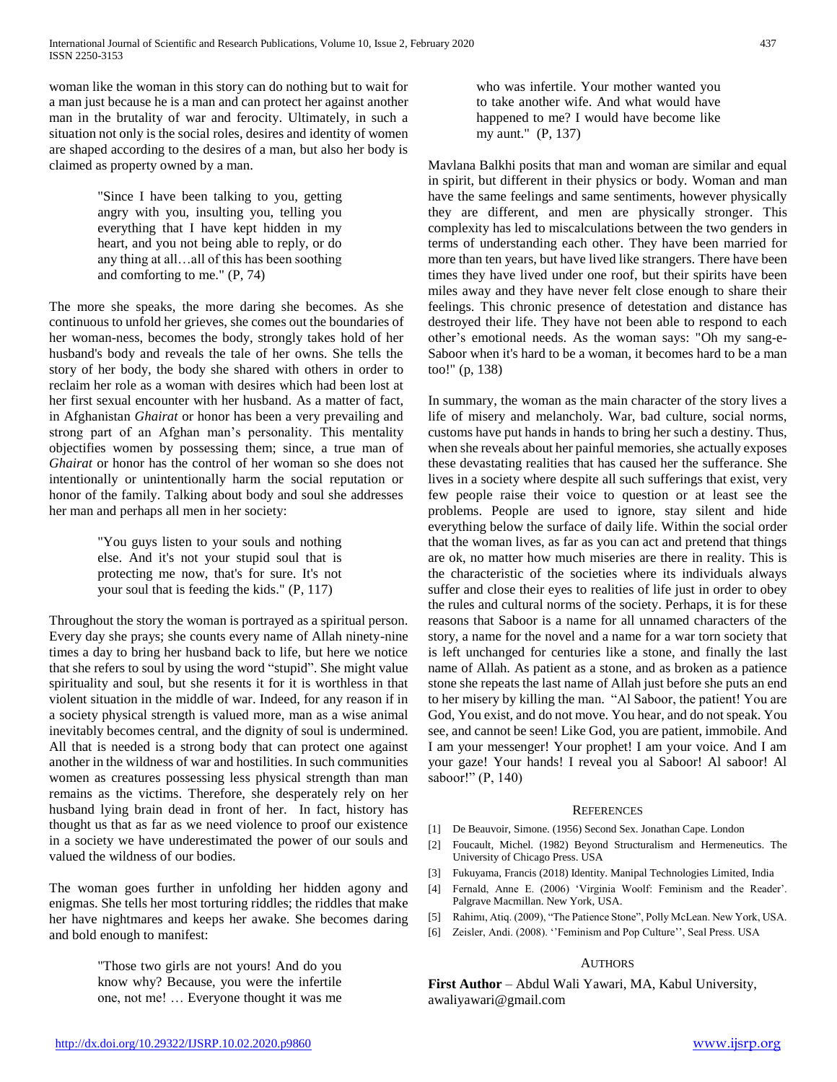woman like the woman in this story can do nothing but to wait for a man just because he is a man and can protect her against another man in the brutality of war and ferocity. Ultimately, in such a situation not only is the social roles, desires and identity of women are shaped according to the desires of a man, but also her body is claimed as property owned by a man.

> "Since I have been talking to you, getting angry with you, insulting you, telling you everything that I have kept hidden in my heart, and you not being able to reply, or do any thing at all…all of this has been soothing and comforting to me." (P, 74)

The more she speaks, the more daring she becomes. As she continuous to unfold her grieves, she comes out the boundaries of her woman-ness, becomes the body, strongly takes hold of her husband's body and reveals the tale of her owns. She tells the story of her body, the body she shared with others in order to reclaim her role as a woman with desires which had been lost at her first sexual encounter with her husband. As a matter of fact, in Afghanistan *Ghairat* or honor has been a very prevailing and strong part of an Afghan man's personality. This mentality objectifies women by possessing them; since, a true man of *Ghairat* or honor has the control of her woman so she does not intentionally or unintentionally harm the social reputation or honor of the family. Talking about body and soul she addresses her man and perhaps all men in her society:

> "You guys listen to your souls and nothing else. And it's not your stupid soul that is protecting me now, that's for sure. It's not your soul that is feeding the kids." (P, 117)

Throughout the story the woman is portrayed as a spiritual person. Every day she prays; she counts every name of Allah ninety-nine times a day to bring her husband back to life, but here we notice that she refers to soul by using the word "stupid". She might value spirituality and soul, but she resents it for it is worthless in that violent situation in the middle of war. Indeed, for any reason if in a society physical strength is valued more, man as a wise animal inevitably becomes central, and the dignity of soul is undermined. All that is needed is a strong body that can protect one against another in the wildness of war and hostilities. In such communities women as creatures possessing less physical strength than man remains as the victims. Therefore, she desperately rely on her husband lying brain dead in front of her. In fact, history has thought us that as far as we need violence to proof our existence in a society we have underestimated the power of our souls and valued the wildness of our bodies.

The woman goes further in unfolding her hidden agony and enigmas. She tells her most torturing riddles; the riddles that make her have nightmares and keeps her awake. She becomes daring and bold enough to manifest:

> "Those two girls are not yours! And do you know why? Because, you were the infertile one, not me! … Everyone thought it was me

who was infertile. Your mother wanted you to take another wife. And what would have happened to me? I would have become like my aunt." (P, 137)

Mavlana Balkhi posits that man and woman are similar and equal in spirit, but different in their physics or body. Woman and man have the same feelings and same sentiments, however physically they are different, and men are physically stronger. This complexity has led to miscalculations between the two genders in terms of understanding each other. They have been married for more than ten years, but have lived like strangers. There have been times they have lived under one roof, but their spirits have been miles away and they have never felt close enough to share their feelings. This chronic presence of detestation and distance has destroyed their life. They have not been able to respond to each other's emotional needs. As the woman says: "Oh my sang-e-Saboor when it's hard to be a woman, it becomes hard to be a man too!" (p, 138)

In summary, the woman as the main character of the story lives a life of misery and melancholy. War, bad culture, social norms, customs have put hands in hands to bring her such a destiny. Thus, when she reveals about her painful memories, she actually exposes these devastating realities that has caused her the sufferance. She lives in a society where despite all such sufferings that exist, very few people raise their voice to question or at least see the problems. People are used to ignore, stay silent and hide everything below the surface of daily life. Within the social order that the woman lives, as far as you can act and pretend that things are ok, no matter how much miseries are there in reality. This is the characteristic of the societies where its individuals always suffer and close their eyes to realities of life just in order to obey the rules and cultural norms of the society. Perhaps, it is for these reasons that Saboor is a name for all unnamed characters of the story, a name for the novel and a name for a war torn society that is left unchanged for centuries like a stone, and finally the last name of Allah. As patient as a stone, and as broken as a patience stone she repeats the last name of Allah just before she puts an end to her misery by killing the man. "Al Saboor, the patient! You are God, You exist, and do not move. You hear, and do not speak. You see, and cannot be seen! Like God, you are patient, immobile. And I am your messenger! Your prophet! I am your voice. And I am your gaze! Your hands! I reveal you al Saboor! Al saboor! Al saboor!" (P, 140)

#### **REFERENCES**

- [1] De Beauvoir, Simone. (1956) Second Sex. Jonathan Cape. London
- [2] Foucault, Michel. (1982) Beyond Structuralism and Hermeneutics. The University of Chicago Press. USA
- [3] Fukuyama, Francis (2018) Identity. Manipal Technologies Limited, India
- [4] Fernald, Anne E. (2006) 'Virginia Woolf: Feminism and the Reader'. Palgrave Macmillan. New York, USA.
- [5] Rahimı, Atiq. (2009), "The Patience Stone", Polly McLean. New York, USA.
- [6] Zeisler, Andi. (2008). ''Feminism and Pop Culture'', Seal Press. USA

#### AUTHORS

**First Author** – Abdul Wali Yawari, MA, Kabul University, awaliyawari@gmail.com